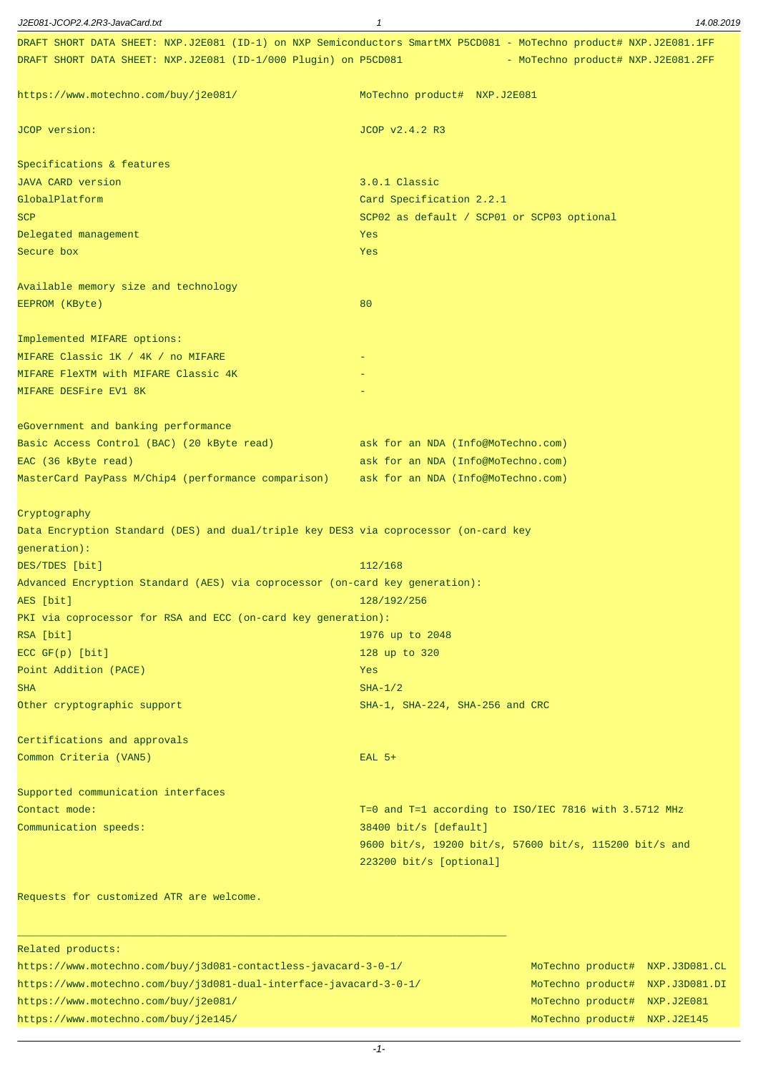| J2E081-JCOP2.4.2R3-JavaCard.txt                                                                                      | $\mathbf{1}$                               | 14.08.2019                                             |
|----------------------------------------------------------------------------------------------------------------------|--------------------------------------------|--------------------------------------------------------|
| DRAFT SHORT DATA SHEET: NXP.J2E081 (ID-1) on NXP Semiconductors SmartMX P5CD081 - MoTechno product# NXP.J2E081.1FF   |                                            |                                                        |
| DRAFT SHORT DATA SHEET: NXP.J2E081 (ID-1/000 Plugin) on P5CD081                                                      |                                            | - MoTechno product# NXP.J2E081.2FF                     |
| https://www.motechno.com/buy/j2e081/                                                                                 | MoTechno product# NXP.J2E081               |                                                        |
| JCOP version:                                                                                                        | JCOP v2.4.2 R3                             |                                                        |
| Specifications & features                                                                                            |                                            |                                                        |
| <b>JAVA CARD version</b>                                                                                             | 3.0.1 Classic                              |                                                        |
| GlobalPlatform                                                                                                       | Card Specification 2.2.1                   |                                                        |
| <b>SCP</b>                                                                                                           | SCP02 as default / SCP01 or SCP03 optional |                                                        |
| Delegated management                                                                                                 | Yes                                        |                                                        |
| Secure box                                                                                                           | Yes                                        |                                                        |
| Available memory size and technology                                                                                 |                                            |                                                        |
| EEPROM (KByte)                                                                                                       | 80                                         |                                                        |
| Implemented MIFARE options:                                                                                          |                                            |                                                        |
| MIFARE Classic 1K / 4K / no MIFARE                                                                                   |                                            |                                                        |
| MIFARE FleXTM with MIFARE Classic 4K                                                                                 |                                            |                                                        |
| MIFARE DESFire EV1 8K                                                                                                |                                            |                                                        |
| eGovernment and banking performance                                                                                  |                                            |                                                        |
| Basic Access Control (BAC) (20 kByte read)                                                                           | ask for an NDA (Info@MoTechno.com)         |                                                        |
| EAC (36 kByte read)                                                                                                  | ask for an NDA (Info@MoTechno.com)         |                                                        |
| MasterCard PayPass M/Chip4 (performance comparison)                                                                  | ask for an NDA (Info@MoTechno.com)         |                                                        |
| Cryptography<br>Data Encryption Standard (DES) and dual/triple key DES3 via coprocessor (on-card key<br>generation): |                                            |                                                        |
| DES/TDES [bit]                                                                                                       | 112/168                                    |                                                        |
| Advanced Encryption Standard (AES) via coprocessor (on-card key generation):                                         |                                            |                                                        |
| AES [bit]                                                                                                            | 128/192/256                                |                                                        |
| PKI via coprocessor for RSA and ECC (on-card key generation):                                                        |                                            |                                                        |
| RSA [bit]                                                                                                            | 1976 up to 2048                            |                                                        |
| $ECC$ $GF(p)$ [bit]                                                                                                  | 128 up to 320                              |                                                        |
| Point Addition (PACE)                                                                                                | Yes                                        |                                                        |
| <b>SHA</b>                                                                                                           | $SHA-1/2$                                  |                                                        |
| Other cryptographic support                                                                                          | SHA-1, SHA-224, SHA-256 and CRC            |                                                        |
| Certifications and approvals<br>Common Criteria (VAN5)                                                               |                                            |                                                        |
|                                                                                                                      | $EAL$ 5+                                   |                                                        |
| Supported communication interfaces                                                                                   |                                            |                                                        |
| Contact mode:                                                                                                        |                                            | T=0 and T=1 according to ISO/IEC 7816 with 3.5712 MHz  |
| Communication speeds:                                                                                                | 38400 bit/s [default]                      |                                                        |
|                                                                                                                      | 223200 bit/s [optional]                    | 9600 bit/s, 19200 bit/s, 57600 bit/s, 115200 bit/s and |
| Requests for customized ATR are welcome.                                                                             |                                            |                                                        |
| Related products:                                                                                                    |                                            |                                                        |
| https://www.motechno.com/buy/j3d081-contactless-javacard-3-0-1/                                                      |                                            | MoTechno product# NXP.J3D081.CL                        |
| https://www.motechno.com/buy/j3d081-dual-interface-javacard-3-0-1/                                                   |                                            | MoTechno product# NXP.J3D081.DI                        |

https://www.motechno.com/buy/j2e081/ MoTechno product# NXP.J2E081 https://www.motechno.com/buy/j2e145/ MoTechno product# NXP.J2E145